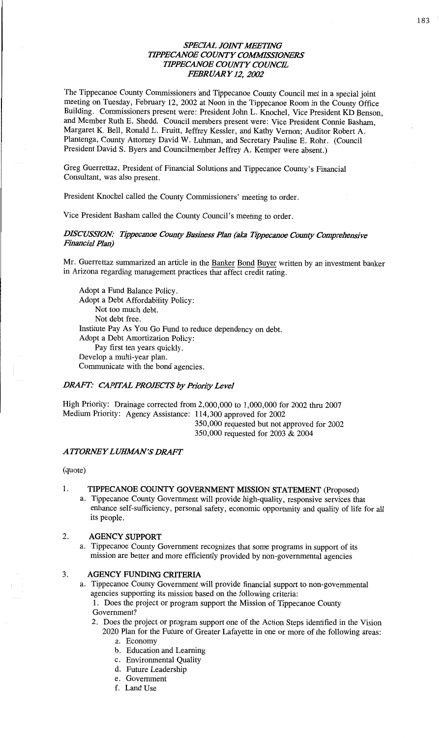# *SPECIAL JOHVT WETBVG WPECANOE COMVTY COMMISSIONERS WPECANOE COWTY COWC'E FEBRUARY* 12, *2002*

The **Tippecanoe** County **Commissioners** 'and Tippecanoe County Council met in a special **joint**  meeting on Tuesday, February 12, 2002 at Noon in the Tippecanoe **Room** in the County Office Building. **Commissioners** present were: President John L. Knochel, **Vice** President KD Benson, and Member Ruth B. Shedd. Council members present were: Vice President Connie Basham, Margaret K. Bell, **Ronald** L. Pruitt, Jeffrey Kessler, and Kathy Vernon; Auditor Robert A. Plantenga, County Attorney David W. **Luhman,** and Secretary Pauline E. Rohr. (Council President **David** S. Byers and **Councihnember** Jeffrey A. Kemper were absent.)

Greg Guerrettaz, President of Financial Solutions and Tippecanoe County's Financial Consultant, was also present.

**President Knochel** called the **County Commissioners'** meeting to order.

**Vice** President Basham called the County **Council's** meeting to **order.** 

#### *DISCUSSION: Tippecanoe County* Bua'ness *Plan (aka Tippecanoe County Compmbcmive Financial Plan)*

Mr. Guerrettaz **summarized** an article in the Banker **Bond** Buyer written by an investment banker in Arizona regarding **management** practices **that** affect credit rating.

Adopt **a** Fund **Balance** Policy. Adopt a Debt Affordability Policy: Not too much **debt.**  Not debt free. Institute Pay As You Go Fund to reduce **dependency** on **debt.**  Adopt a Debt Amortization Policy: Pay first ten years quickly. Develop a multi-year plan. Communicate with the bond agencies.

#### *DRAFT: CAPITAL PROJECTS* by *Priozizjy Level*

High Priority: Drainage corrected from 2,000,000 to 1,000,000 for 2002 thru 2007 Medium Priority: **Agency Assistance:** 114,300 approved for 2002 *-* 350,000 requested but not approved for <sup>2002</sup> 350,000 requested for 2003 & 2004

#### *A TTORNE Y L UIHIMN* '5' *DRAFT*

(quote)

#### 1. **TIPPECANOE COUNTY GOVERNMENT MISSION STATEMENT** (Proposed)

a. Tippecanoe County Government will provide high-quality, responsive services that **enhance** self-sufficiency, personal **safety,** economic opportunity and quality of **life** for all its people.

#### 2. **AGENCY SUPPORT**

a. Tippecanoe County Government **recognizes** that **some** programs in support of its **mission** are better and more efficiently provided by non-governmental agencies

#### 3. AGENCY FUNDING **CRITERIA**

a. Tippecanoe County **Government** will provide financial support to **non-govermnental**  agencies supporting its mission based on the following criteria:

1. Does the project or program support the Mission of Tippecanoe County Government?

- 2. Does the project or program support one of the Action Steps identified in the **Vision**  2020 Plan for the Future of Greater Lafayette in one or more of the following areas:
	- a. Economy
	- b. Education and Learning
	- c. Environmental Quality
	- d. Future Leadership
	- e. Government
	- f. Land Use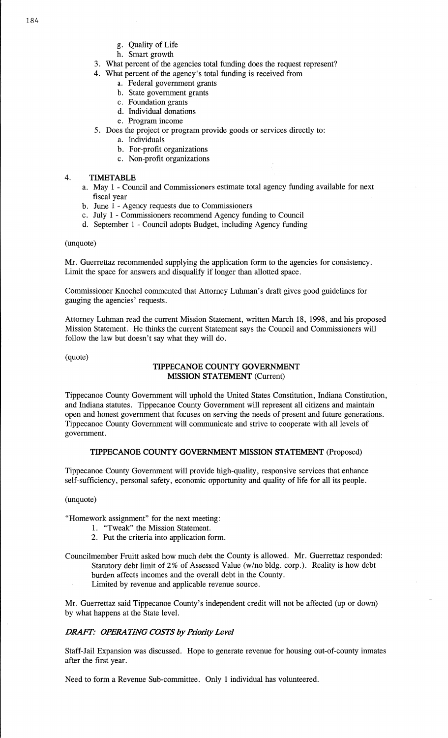- g. Quality of Life
- h. Smart growth
- 3. What percent of the agencies total funding does the request represent?
- 4. What percent of the agency's total funding is received from
	- a. Federal government grants
	- b. State government grants
	- c. Foundation grants
	- d. Individual donations
	- e. Program income
- 5. Does the project or program provide goods or services directly to:
	- a. Individuals
	- b. For-profit organizations
	- c. Non-profit organizations

### 4. **TIMETABLE**

- a. May **1** Council and Commissioners estimate total agency funding available for next fiscal year
- b. June **1** Agency requests due to Commissioners
- 0. July **<sup>1</sup>**Commissioners recommend Agency funding to Council
- (1. September **1** Council adopts Budget, including Agency funding

#### (unquote)

Mr. Guerrettaz recommended supplying the application form to the agencies for consistency. Limit the space for answers and disqualify if longer than allotted space.

Commissioner Knochel commented that Attorney Luhman's draft gives good guidelines for gauging the **agencies'** requests.

Attorney **Luhman** read the current **Mission** Statement, written March 18, 1998, and his proposed Mission Statement. He **thinks** the current Statement says the Council and **Commissioners** will follow the law but doesn't say what they will do.

 $quote)$ 

### **TIPPECANOE COUNTY GOVERNMENT MISSION STATEMENT** (Current)

Tippecanoe County Government will uphold the **United** States Constitution, Indiana Constitution, and Indiana statutes. Tippecanoe County Government will represent all citizens and **maintain**  open and honest government that focuses on serving the needs of present and future generations. Tippecanoe County Government will communicate and strive to cooperate with all levels of government.

#### **TIPPECANOE** COUNTY GOVERNMENT **MISSION STATEMENT** (Proposed)

Tippecanoe County Government will provide high-quality, responsive **services** that enhance self-sufficiency, personal safety, economic opportunity and quality of life for all its people.

#### (unquote)

"Homework assignment" for the **next** meeting:

- 1. "Tweak" the Mission Statement.
- 2. Put the criteria into application form.

Councilmember Fruitt asked how much debt the County is allowed. Mr. Guerrettaz responded: Statutory debt limit of 2% of Assessed Value (W/no bldg. corp.). Reality is how debt burden affects incomes and the overall debt in the County.

Limited by revenue and applicable revenue source.

Mr. Guerrettaz said Tippecanoe County's independent credit will not be affected (up or down) by what happens at the State level.

# **DRAFT: OPERATING COSTS by Priority Level**

Staff—J ail Expansion was **discussed.** Hope to generate revenue for **housing** out-of-county **inmates**  after the first year.

Need to form a Revenue Sub-committee. Only 1 individual has volunteered.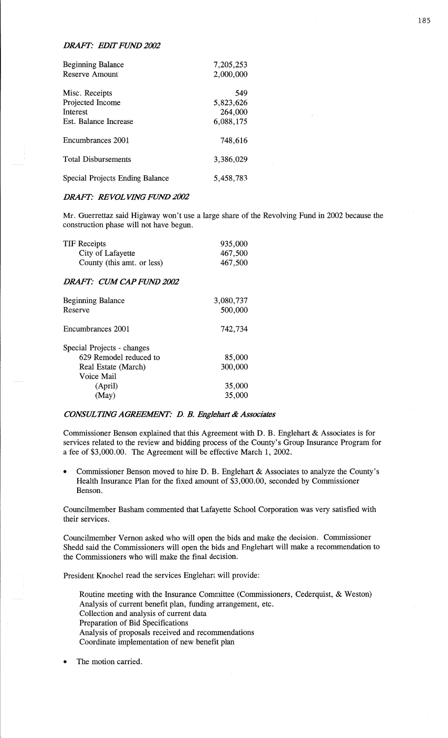#### **DRAFT: EDIT FUND 2002**

| Beginning Balance               | 7,205,253 |
|---------------------------------|-----------|
| Reserve Amount                  | 2,000,000 |
| Misc. Receipts                  | 549       |
| Projected Income                | 5,823,626 |
| <b>Interest</b>                 | 264,000   |
| Est. Balance Increase           | 6,088,175 |
| Encumbrances 2001               | 748,616   |
| <b>Total Disbursements</b>      | 3,386,029 |
| Special Projects Ending Balance | 5,458,783 |

#### *DRAFT:* RE VOL *VHVG FUND 2002*

Mr. Guerrettaz said Highway won't use a large share of the Revolving Fund in 2002 because the construction phase will not have begun.

| TIF Receipts               | 935,000 |
|----------------------------|---------|
| City of Lafayette          | 467,500 |
| County (this amt. or less) | 467,500 |
|                            |         |

#### *DRAFT:* CUM *CAPFUJW 2002*

| <b>Beginning Balance</b><br>Reserve | 3,080,737<br>500,000 |
|-------------------------------------|----------------------|
| Encumbrances 2001                   | 742,734              |
| Special Projects - changes          |                      |
| 629 Remodel reduced to              | 85,000               |
| Real Estate (March)                 | 300,000              |
| Voice Mail                          |                      |
| (April)                             | 35,000               |
| (May)                               | 35,000               |

#### *CONSULTING AGREEMENT: D. B. Englehart & Associates*

Commissioner Benson explained that **this** Agreement With D. B. Englehart & Associates is for services related to the review and bidding process of the County's Group Insurance Program for a fee of \$3,000.00. The Agreement will be effective March 1, 2002.

**0** Commissioner Benson moved to hire D. B. Englehart & Associates to **analyze** the County's Health Insurance Plan for the **fixed** amount of \$3,000.00, seconded by Commissioner Benson.

Councilmember **Basham commented that** Lafayette School Corporation was very satisfied with their services..

Councilmember Vernon asked who will open the bids and make the decision. Commissioner Shedd said the Commissioners will open the bids and Englehart will make **a** recommendation to the Commissioners who will make the final decision.

President Knochel read the services Englehart will provide:

Routine meeting with the Insurance Committee (Commissioners, Cederquist, & Weston) Analysis of current benefit plan, **funding** arrangement, etc. Collection and analysis of current data Preparation of Bid Specifications Analysis of proposals received and recommendations Coordinate implementation of new benefit **plan** 

**0** The motion carried.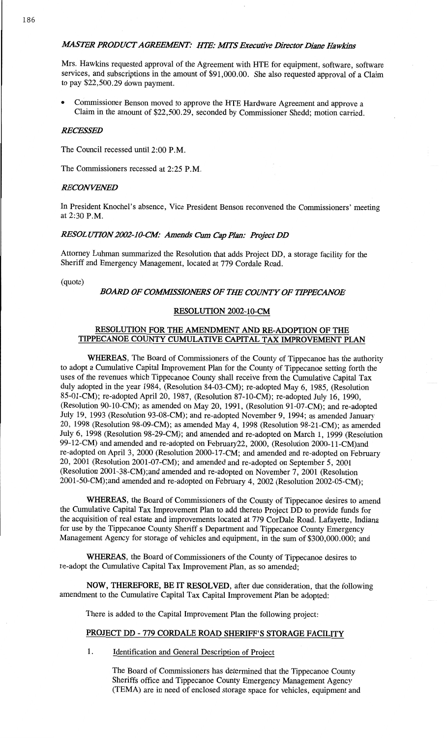Mrs. Hawkins requested approval of the **Agreement** with HTE for **equipment,** software, software services, and subscriptions in the amount of \$91,000.00. She also requested approval of **a Claim**  to pay \$22,500.29 down payment.

**0 Commissioner** Benson moved to **approve** the HTE Hardware **Agreement** and approve a Claim in the amount of **\$22,500.29, seconded** by Commissioner **Shedd;** motion **carried.** 

#### *RECESSED*

The **Council recessed until 2:00** RM.

The Commissioners **recessed** at **2:25** P.M.

#### *RECONVENED*

In President Knochel's absence, Vice President **Benson** reconvened the **Commissioners'** meeting at 2:30 **P.M.** 

#### *RESOLUYYON 2002-100V: Amends* Cum Cap *Plan: Hojcct* DD

Attorney **Luhman** summarized the Resolution that adds Project DD, a storage **facility** for the **Sheriff** and Emergency **Management,** located at 779 **Cordale** Road.

(quote)

#### **BOARD OF COMMISSIONERS OF THE COUNTY OF TIPPECANOE**

#### **RESOLUTION 2002-10-CM**

#### **RESOLUTION** FOR THE **AMENDMENT** AND **RE—ADOPTION** OF THE **TIPPECANOE** COUNTY **CUMULATIVE CAPITAL** TAX **IMPROVEMENT PLAN**

**WHEREAS,** The Board of Commissioners of the County of Tippecanoe has the authority to adopt a Cumulative Capital Improvement Plan for the County of Tippecanoe setting forth the **uses** of the revenues which Tippecanoe County **shall** receive from the Cumulative Capital Tax duly adopted in the year 1984, (Resolution 84—03—CM); re—adopted May 6, 1985, (Resolution 85-01-CM); re-adopted April 20, 1987, (Resolution 87-10-CM); re—adopted July 16, 1990, (Resolution 90-10-CM); as amended on May 20, **1991,** (Resolution 91-07-CM); and re-adopted July 19, 1993 (Resolution 93-08-CM); and re-adopted November 9, 1994; as amended January 20, 1998 (Resolution 98-09—CM); as amended May 4, 1998 (Resolution 98-21-CM); as amended July 6, 1998 (Resolution 98-29-CM); and amended and **re-adopted** on March 1, 1999 (Resolution 99-12—CM) and amended and re-adopted on February22, 2000, (Resolution 2000-11—CM)and re-adopted on **April** 3, 2000 (Resolution 2000-17—CM; and amended and re—adopted on February 20, **2001** (Resolution 2001—07—CM); and amended and re—adopted on September 5, 2001 **(Resolution** 2001-38-CM);and **amended** and re-adopted on November 7, 2001 (Resolution 2001-50-CM);and amended and re-adopted on February 4, 2002 (ReSolution 2002-05-CM);

WHEREAS, the Board of Commissioners of the County of Tippecanoe desires to amend the Cumulative Capital Tax Improvement Plan to add thereto Project DD to **provide** funds for the acquisition of real estate and improvements located at 779 CorDale Road, Lafayette, Indiana for use by the Tippecanoe County Sheriff **s** Department and Tippecanoe County Emergency Management Agency for storage of vehicles and equipment, in the sum of \$300,000.000; and

**WHEREAS,** the Board of **Commissioners** of the County of **Tippecanoe** desires to re-adopt the **Cumulative Capital** Tax Improvement Plan, as so amended;

**NOW, THEREFORE,** BE IT **RESOLVED,** after due consideration, that the **following amendment** to the Cumulative Capital Tax Capital **Improvement** Plan be adopted:

There is **added** to the Capital Improvement **Plan** the following project:

# PROJECT DD *-* 779 **CORDALE ROAD SHERIFF'S STORAGE FACILITY**

1. **Identification** and General Description of Project

The **Board** of **Commissioners** has **determined that** the **Tippecanoe** County Sheriffs office and Tippecanoe County Emergency Management Agency (TEMA) are in **need** of enclosed storage space for vehicles, equipment and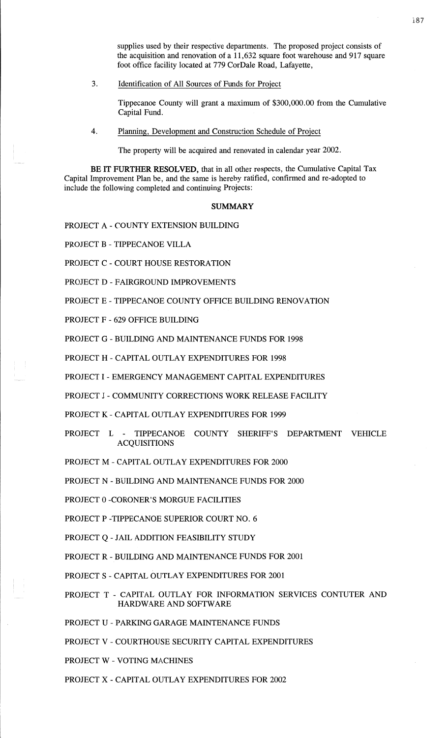supplies used by their respective departments. The proposed project consists of the **acquisition** and renovation of a 11,632 square foot warehouse and 917 square foot office facility located at 779 CorDale Road, Lafayette,

3. Identification of All Sources of Funds for Project

Tippecanoe County will grant **a** maximum of \$300,000.00 from the Cumulative Capital Fund. *,* 

4. Planning, Development and Construction Schedule of Project

The property will be acquired and renovated in calendar year 2002.

BE IT FURTHER RESOLVED, that in all other respects, the Cumulative Capital Tax Capital Improvement **Plan** be, and the same is hereby ratified, confirmed and re—adopted to include the following completed and continuing Projects:

#### **SUMMARY**

PROJECT **A** *-* COUNTY EXTENSION BUILDING

PROJECT B *-* TIPPECANOE **VILLA** 

PROJECT C **-** COURT HOUSE RESTORATION

PROJECT D *-* FAIRGROUND IMPROVEMENTS

PROJECT E - TIPPECANOE COUNTY OFFICE BUILDING **RENOVATION** 

PROJECT F *-* 629 OFFICE BUILDING

PROJECT G *-* BUILDING AND MAINTENANCE FUNDS FOR 1998

PROJECT **H** *-* CAPITAL **OUTLAY** EXPENDITURES FOR 1998

PROJECT 1 **—** EMERGENCY MANAGEMENT **CAPITAL** EXPENDITURES

PROJECT J **—** COMMUNITY CORRECTIONS WORK RELEASE FACILITY

PROJECT K *-* **CAPITAL** OUTLAY EXPENDITURES FOR 1999

PROJECT L *-* TIPPECANOE COUNTY SHERIFF'S DEPARTMENT VEHICLE ACQUISITIONS

PROJECT M *—* CAPITAL **OUTLAY** EXPENDITURES FOR 2000

PROJECT N *-* BUILDING AND MAINTENANCE FUNDS FOR <sup>2000</sup>

PROJECT 0 -CORONER'S MORGUE FACILITIES

PROJECT **P -TIPPECANOE** SUPERIOR COURT NO. 6

PROJECT Q **-** JAIL **ADDITION FEASIBILITY** STUDY

PROJECT R -BUILDING AND MAINTENANCE FUNDS FOR 2001

- PROJECT **S** CAPITAL OUTLAY EXPENDITURES FOR 2001
- PROJECT **T** CAPITAL OUTLAY FOR INFORMATION SERVICES CONTUTER AND HARDWARE AND SOFTWARE
- PROJECT U **PARKING** GARAGE MAINTENANCE FUNDS
- PROJECT V COURTHOUSE SECURITY **CAPITAL** EXPENDITURES
- PROJECT **W** VOTING MACHINES
- PROJECT X **CAPITAL OUTLAY** EXPENDITURES FOR 2002